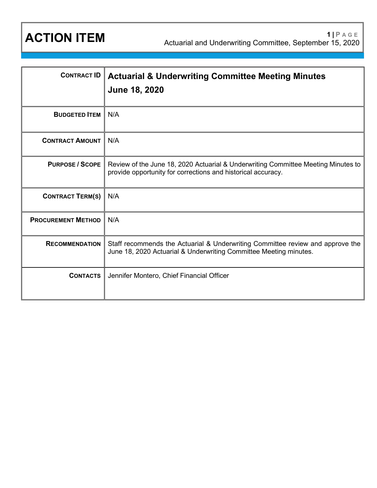| <b>CONTRACT ID</b>        | <b>Actuarial &amp; Underwriting Committee Meeting Minutes</b><br><b>June 18, 2020</b>                                                               |
|---------------------------|-----------------------------------------------------------------------------------------------------------------------------------------------------|
| <b>BUDGETED ITEM</b>      | N/A                                                                                                                                                 |
| <b>CONTRACT AMOUNT</b>    | N/A                                                                                                                                                 |
| <b>PURPOSE / SCOPE</b>    | Review of the June 18, 2020 Actuarial & Underwriting Committee Meeting Minutes to<br>provide opportunity for corrections and historical accuracy.   |
| <b>CONTRACT TERM(S)</b>   | N/A                                                                                                                                                 |
| <b>PROCUREMENT METHOD</b> | N/A                                                                                                                                                 |
| <b>RECOMMENDATION</b>     | Staff recommends the Actuarial & Underwriting Committee review and approve the<br>June 18, 2020 Actuarial & Underwriting Committee Meeting minutes. |
| <b>CONTACTS</b>           | Jennifer Montero, Chief Financial Officer                                                                                                           |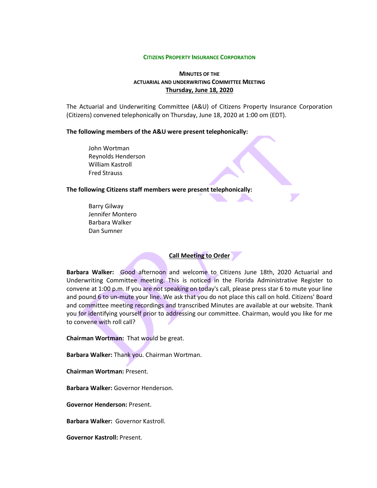#### **CITIZENS PROPERTY INSURANCE CORPORATION**

## **MINUTES OF THE ACTUARIAL AND UNDERWRITING COMMITTEE MEETING Thursday, June 18, 2020**

The Actuarial and Underwriting Committee (A&U) of Citizens Property Insurance Corporation (Citizens) convened telephonically on Thursday, June 18, 2020 at 1:00 om (EDT).

**The following members of the A&U were present telephonically:**

John Wortman Reynolds Henderson William Kastroll Fred Strauss

## **The following Citizens staff members were present telephonically:**

Barry Gilway Jennifer Montero Barbara Walker Dan Sumner

**Call Meeting to Order**

**Barbara Walker:** Good afternoon and welcome to Citizens June 18th, 2020 Actuarial and Underwriting Committee meeting. This is noticed in the Florida Administrative Register to convene at 1:00 p.m. If you are not speaking on today's call, please press star 6 to mute your line and pound 6 to un-mute your line. We ask that you do not place this call on hold. Citizens' Board and committee meeting recordings and transcribed Minutes are available at our website. Thank you for identifying yourself prior to addressing our committee. Chairman, would you like for me to convene with roll call?

**Chairman Wortman:** That would be great.

**Barbara Walker:** Thank you. Chairman Wortman.

**Chairman Wortman:** Present.

**Barbara Walker:** Governor Henderson.

**Governor Henderson:** Present.

**Barbara Walker:** Governor Kastroll.

**Governor Kastroll:** Present.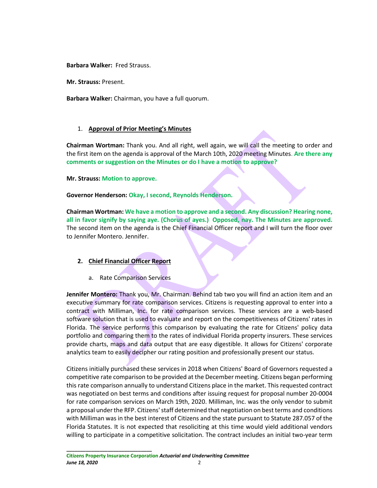**Barbara Walker:** Fred Strauss.

**Mr. Strauss:** Present.

**Barbara Walker:** Chairman, you have a full quorum.

## 1. **Approval of Prior Meeting's Minutes**

**Chairman Wortman:** Thank you. And all right, well again, we will call the meeting to order and the first item on the agenda is approval of the March 10th, 2020 meeting Minutes. **Are there any comments or suggestion on the Minutes or do I have a motion to approve?**

**Mr. Strauss: Motion to approve.**

**Governor Henderson: Okay, I second, Reynolds Henderson.**

**Chairman Wortman: We have a motion to approve and a second. Any discussion? Hearing none, all in favor signify by saying aye. (Chorus of ayes.) Opposed, nay. The Minutes are approved.** The second item on the agenda is the Chief Financial Officer report and I will turn the floor over to Jennifer Montero. Jennifer.

## **2. Chief Financial Officer Report**

a. Rate Comparison Services

**Jennifer Montero:** Thank you, Mr. Chairman. Behind tab two you will find an action item and an executive summary for rate comparison services. Citizens is requesting approval to enter into a contract with Milliman, Inc. for rate comparison services. These services are a web-based software solution that is used to evaluate and report on the competitiveness of Citizens' rates in Florida. The service performs this comparison by evaluating the rate for Citizens' policy data portfolio and comparing them to the rates of individual Florida property insurers. These services provide charts, maps and data output that are easy digestible. It allows for Citizens' corporate analytics team to easily decipher our rating position and professionally present our status.

Citizens initially purchased these services in 2018 when Citizens' Board of Governors requested a competitive rate comparison to be provided at the December meeting. Citizens began performing this rate comparison annually to understand Citizens place in the market. This requested contract was negotiated on best terms and conditions after issuing request for proposal number 20-0004 for rate comparison services on March 19th, 2020. Milliman, Inc. was the only vendor to submit a proposal under the RFP. Citizens' staff determined that negotiation on best terms and conditions with Milliman was in the best interest of Citizens and the state pursuant to Statute 287.057 of the Florida Statutes. It is not expected that resoliciting at this time would yield additional vendors willing to participate in a competitive solicitation. The contract includes an initial two-year term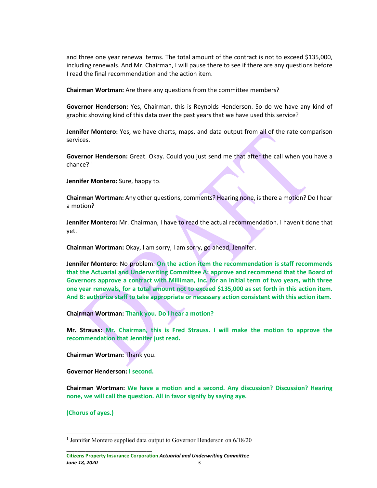and three one year renewal terms. The total amount of the contract is not to exceed \$135,000, including renewals. And Mr. Chairman, I will pause there to see if there are any questions before I read the final recommendation and the action item.

**Chairman Wortman:** Are there any questions from the committee members?

**Governor Henderson:** Yes, Chairman, this is Reynolds Henderson. So do we have any kind of graphic showing kind of this data over the past years that we have used this service?

**Jennifer Montero:** Yes, we have charts, maps, and data output from all of the rate comparison services.

**Governor Henderson:** Great. Okay. Could you just send me that after the call when you have a chance? [1](#page-3-0)

**Jennifer Montero:** Sure, happy to.

**Chairman Wortman:** Any other questions, comments? Hearing none, is there a motion? Do I hear a motion?

**Jennifer Montero:** Mr. Chairman, I have to read the actual recommendation. I haven't done that yet.

**Chairman Wortman:** Okay, I am sorry, I am sorry, go ahead, Jennifer.

**Jennifer Montero:** No problem. **On the action item the recommendation is staff recommends that the Actuarial and Underwriting Committee A: approve and recommend that the Board of Governors approve a contract with Milliman, Inc. for an initial term of two years, with three one year renewals, for a total amount not to exceed \$135,000 as set forth in this action item. And B: authorize staff to take appropriate or necessary action consistent with this action item.**

**Chairman Wortman: Thank you. Do I hear a motion?**

**Mr. Strauss: Mr. Chairman, this is Fred Strauss. I will make the motion to approve the recommendation that Jennifer just read.** 

**Chairman Wortman:** Thank you.

**Governor Henderson: I second.**

**\_\_\_\_\_\_\_\_\_\_\_\_\_\_\_\_\_\_\_\_\_\_\_\_\_\_\_\_\_\_\_**

**Chairman Wortman: We have a motion and a second. Any discussion? Discussion? Hearing none, we will call the question. All in favor signify by saying aye.**

**(Chorus of ayes.)**

<span id="page-3-0"></span><sup>&</sup>lt;sup>1</sup> Jennifer Montero supplied data output to Governor Henderson on 6/18/20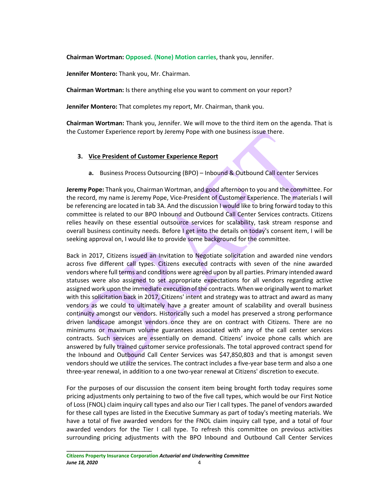**Chairman Wortman: Opposed. (None) Motion carries**, thank you, Jennifer.

**Jennifer Montero:** Thank you, Mr. Chairman.

**Chairman Wortman:** Is there anything else you want to comment on your report?

**Jennifer Montero:** That completes my report, Mr. Chairman, thank you.

**Chairman Wortman:** Thank you, Jennifer. We will move to the third item on the agenda. That is the Customer Experience report by Jeremy Pope with one business issue there.

# **3. Vice President of Customer Experience Report**

**a.** Business Process Outsourcing (BPO) – Inbound & Outbound Call center Services

**Jeremy Pope:** Thank you, Chairman Wortman, and good afternoon to you and the committee. For the record, my name is Jeremy Pope, Vice-President of Customer Experience. The materials I will be referencing are located in tab 3A. And the discussion I would like to bring forward today to this committee is related to our BPO Inbound and Outbound Call Center Services contracts. Citizens relies heavily on these essential outsource services for scalability, task stream response and overall business continuity needs. Before I get into the details on today's consent item, I will be seeking approval on, I would like to provide some background for the committee.

Back in 2017, Citizens issued an Invitation to Negotiate solicitation and awarded nine vendors across five different call types. Citizens executed contracts with seven of the nine awarded vendors where full terms and conditions were agreed upon by all parties. Primary intended award statuses were also assigned to set appropriate expectations for all vendors regarding active assigned work upon the immediate execution of the contracts. When we originally went to market with this solicitation back in 2017, Citizens' intent and strategy was to attract and award as many vendors as we could to ultimately have a greater amount of scalability and overall business continuity amongst our vendors. Historically such a model has preserved a strong performance driven landscape amongst vendors once they are on contract with Citizens. There are no minimums or maximum volume guarantees associated with any of the call center services contracts. Such services are essentially on demand. Citizens' invoice phone calls which are answered by fully trained customer service professionals. The total approved contract spend for the Inbound and Outbound Call Center Services was \$47,850,803 and that is amongst seven vendors should we utilize the services. The contract includes a five-year base term and also a one three-year renewal, in addition to a one two-year renewal at Citizens' discretion to execute.

For the purposes of our discussion the consent item being brought forth today requires some pricing adjustments only pertaining to two of the five call types, which would be our First Notice of Loss (FNOL) claim inquiry call types and also our Tier I call types. The panel of vendors awarded for these call types are listed in the Executive Summary as part of today's meeting materials. We have a total of five awarded vendors for the FNOL claim inquiry call type, and a total of four awarded vendors for the Tier I call type. To refresh this committee on previous activities surrounding pricing adjustments with the BPO Inbound and Outbound Call Center Services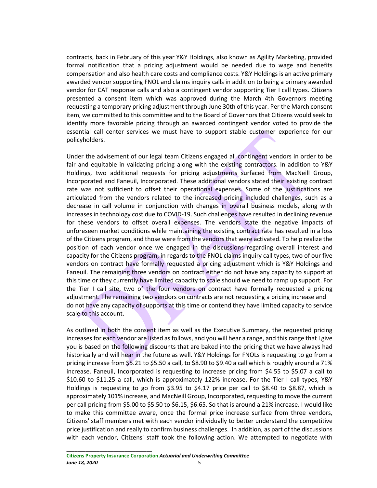contracts, back in February of this year Y&Y Holdings, also known as Agility Marketing, provided formal notification that a pricing adjustment would be needed due to wage and benefits compensation and also health care costs and compliance costs. Y&Y Holdings is an active primary awarded vendor supporting FNOL and claims inquiry calls in addition to being a primary awarded vendor for CAT response calls and also a contingent vendor supporting Tier I call types. Citizens presented a consent item which was approved during the March 4th Governors meeting requesting a temporary pricing adjustment through June 30th of this year. Per the March consent item, we committed to this committee and to the Board of Governors that Citizens would seek to identify more favorable pricing through an awarded contingent vendor voted to provide the essential call center services we must have to support stable customer experience for our policyholders.

Under the advisement of our legal team Citizens engaged all contingent vendors in order to be fair and equitable in validating pricing along with the existing contractors. In addition to Y&Y Holdings, two additional requests for pricing adjustments surfaced from MacNeill Group, Incorporated and Faneuil, Incorporated. These additional vendors stated their existing contract rate was not sufficient to offset their operational expenses. Some of the justifications are articulated from the vendors related to the increased pricing included challenges, such as a decrease in call volume in conjunction with changes in overall business models, along with increases in technology cost due to COVID-19. Such challenges have resulted in declining revenue for these vendors to offset overall expenses. The vendors state the negative impacts of unforeseen market conditions while maintaining the existing contract rate has resulted in a loss of the Citizens program, and those were from the vendors that were activated. To help realize the position of each vendor once we engaged in the discussions regarding overall interest and capacity for the Citizens program, in regards to the FNOL claims inquiry call types, two of our five vendors on contract have formally requested a pricing adjustment which is Y&Y Holdings and Faneuil. The remaining three vendors on contract either do not have any capacity to support at this time or they currently have limited capacity to scale should we need to ramp up support. For the Tier I call site, two of the four vendors on contract have formally requested a pricing adjustment. The remaining two vendors on contracts are not requesting a pricing increase and do not have any capacity of supports at this time or contend they have limited capacity to service scale to this account.

As outlined in both the consent item as well as the Executive Summary, the requested pricing increases for each vendor are listed as follows, and you will hear a range, and this range that I give you is based on the following discounts that are baked into the pricing that we have always had historically and will hear in the future as well. Y&Y Holdings for FNOLs is requesting to go from a pricing increase from \$5.21 to \$5.50 a call, to \$8.90 to \$9.40 a call which is roughly around a 71% increase. Faneuil, Incorporated is requesting to increase pricing from \$4.55 to \$5.07 a call to \$10.60 to \$11.25 a call, which is approximately 122% increase. For the Tier I call types, Y&Y Holdings is requesting to go from \$3.95 to \$4.17 price per call to \$8.40 to \$8.87, which is approximately 101% increase, and MacNeill Group, Incorporated, requesting to move the current per call pricing from \$5.00 to \$5.50 to \$6.15, \$6.65. So that is around a 21% increase. I would like to make this committee aware, once the formal price increase surface from three vendors, Citizens' staff members met with each vendor individually to better understand the competitive price justification and really to confirm business challenges. In addition, as part of the discussions with each vendor, Citizens' staff took the following action. We attempted to negotiate with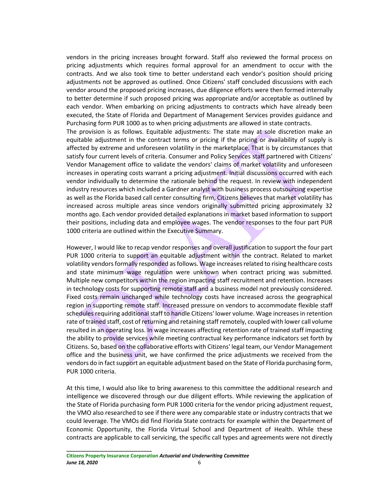vendors in the pricing increases brought forward. Staff also reviewed the formal process on pricing adjustments which requires formal approval for an amendment to occur with the contracts. And we also took time to better understand each vendor's position should pricing adjustments not be approved as outlined. Once Citizens' staff concluded discussions with each vendor around the proposed pricing increases, due diligence efforts were then formed internally to better determine if such proposed pricing was appropriate and/or acceptable as outlined by each vendor. When embarking on pricing adjustments to contracts which have already been executed, the State of Florida and Department of Management Services provides guidance and Purchasing form PUR 1000 as to when pricing adjustments are allowed in state contracts.

The provision is as follows. Equitable adjustments: The state may at sole discretion make an equitable adjustment in the contract terms or pricing if the pricing or availability of supply is affected by extreme and unforeseen volatility in the marketplace. That is by circumstances that satisfy four current levels of criteria. Consumer and Policy Services staff partnered with Citizens' Vendor Management office to validate the vendors' claims of market volatility and unforeseen increases in operating costs warrant a pricing adjustment. Initial discussions occurred with each vendor individually to determine the rationale behind the request. In review with independent industry resources which included a Gardner analyst with business process outsourcing expertise as well as the Florida based call center consulting firm, Citizens believes that market volatility has increased across multiple areas since vendors originally submitted pricing approximately 32 months ago. Each vendor provided detailed explanations in market based information to support their positions, including data and employee wages. The vendor responses to the four part PUR 1000 criteria are outlined within the Executive Summary.

However, I would like to recap vendor responses and overall justification to support the four part PUR 1000 criteria to support an equitable adjustment within the contract. Related to market volatility vendors formally responded as follows. Wage increases related to rising healthcare costs and state minimum wage regulation were unknown when contract pricing was submitted. Multiple new competitors within the region impacting staff recruitment and retention. Increases in technology costs for supporting remote staff and a business model not previously considered. Fixed costs remain unchanged while technology costs have increased across the geographical region in supporting remote staff. Increased pressure on vendors to accommodate flexible staff schedules requiring additional staff to handle Citizens' lower volume. Wage increases in retention rate of trained staff, cost of returning and retaining staff remotely, coupled with lower call volume resulted in an operating loss. In wage increases affecting retention rate of trained staff impacting the ability to provide services while meeting contractual key performance indicators set forth by Citizens. So, based on the collaborative efforts with Citizens' legal team, our Vendor Management office and the business unit, we have confirmed the price adjustments we received from the vendors do in fact support an equitable adjustment based on the State of Florida purchasing form, PUR 1000 criteria.

At this time, I would also like to bring awareness to this committee the additional research and intelligence we discovered through our due diligent efforts. While reviewing the application of the State of Florida purchasing form PUR 1000 criteria for the vendor pricing adjustment request, the VMO also researched to see if there were any comparable state or industry contracts that we could leverage. The VMOs did find Florida State contracts for example within the Department of Economic Opportunity, the Florida Virtual School and Department of Health. While these contracts are applicable to call servicing, the specific call types and agreements were not directly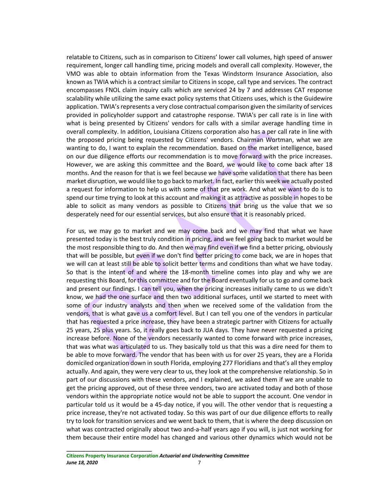relatable to Citizens, such as in comparison to Citizens' lower call volumes, high speed of answer requirement, longer call handling time, pricing models and overall call complexity. However, the VMO was able to obtain information from the Texas Windstorm Insurance Association, also known as TWIA which is a contract similar to Citizens in scope, call type and services. The contract encompasses FNOL claim inquiry calls which are serviced 24 by 7 and addresses CAT response scalability while utilizing the same exact policy systems that Citizens uses, which is the Guidewire application. TWIA's represents a very close contractual comparison given the similarity of services provided in policyholder support and catastrophe response. TWIA's per call rate is in line with what is being presented by Citizens' vendors for calls with a similar average handling time in overall complexity. In addition, Louisiana Citizens corporation also has a per call rate in line with the proposed pricing being requested by Citizens' vendors. Chairman Wortman, what we are wanting to do, I want to explain the recommendation. Based on the market intelligence, based on our due diligence efforts our recommendation is to move forward with the price increases. However, we are asking this committee and the Board, we would like to come back after 18 months. And the reason for that is we feel because we have some validation that there has been market disruption, we would like to go back to market. In fact, earlier this week we actually posted a request for information to help us with some of that pre work. And what we want to do is to spend our time trying to look at this account and making it as attractive as possible in hopes to be able to solicit as many vendors as possible to Citizens that bring us the value that we so desperately need for our essential services, but also ensure that it is reasonably priced.

For us, we may go to market and we may come back and we may find that what we have presented today is the best truly condition in pricing, and we feel going back to market would be the most responsible thing to do. And then we may find even if we find a better pricing, obviously that will be possible, but even if we don't find better pricing to come back, we are in hopes that we will can at least still be able to solicit better terms and conditions than what we have today. So that is the intent of and where the 18-month timeline comes into play and why we are requesting this Board, for this committee and for the Board eventually for us to go and come back and present our findings. I can tell you, when the pricing increases initially came to us we didn't know, we had the one surface and then two additional surfaces, until we started to meet with some of our industry analysts and then when we received some of the validation from the vendors, that is what gave us a comfort level. But I can tell you one of the vendors in particular that has requested a price increase, they have been a strategic partner with Citizens for actually 25 years, 25 plus years. So, it really goes back to JUA days. They have never requested a pricing increase before. None of the vendors necessarily wanted to come forward with price increases, that was what was articulated to us. They basically told us that this was a dire need for them to be able to move forward. The vendor that has been with us for over 25 years, they are a Florida domiciled organization down in south Florida, employing 277 Floridians and that's all they employ actually. And again, they were very clear to us, they look at the comprehensive relationship. So in part of our discussions with these vendors, and I explained, we asked them if we are unable to get the pricing approved, out of these three vendors, two are activated today and both of those vendors within the appropriate notice would not be able to support the account. One vendor in particular told us it would be a 45-day notice, if you will. The other vendor that is requesting a price increase, they're not activated today. So this was part of our due diligence efforts to really try to look for transition services and we went back to them, that is where the deep discussion on what was contracted originally about two and-a-half years ago if you will, is just not working for them because their entire model has changed and various other dynamics which would not be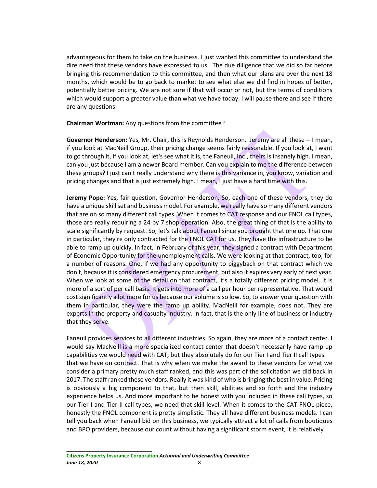advantageous for them to take on the business. I just wanted this committee to understand the dire need that these vendors have expressed to us. The due diligence that we did so far before bringing this recommendation to this committee, and then what our plans are over the next 18 months, which would be to go back to market to see what else we did find in hopes of better, potentially better pricing. We are not sure if that will occur or not, but the terms of conditions which would support a greater value than what we have today. I will pause there and see if there are any questions.

**Chairman Wortman:** Any questions from the committee?

**Governor Henderson:** Yes, Mr. Chair, this is Reynolds Henderson. Jeremy are all these -- I mean, if you look at MacNeill Group, their pricing change seems fairly reasonable. If you look at, I want to go through it, if you look at, let's see what it is, the Faneuil, Inc., theirs is insanely high. I mean, can you just because I am a newer Board member. Can you explain to me the difference between these groups? I just can't really understand why there is this variance in, you know, variation and pricing changes and that is just extremely high. I mean, I just have a hard time with this.

**Jeremy Pope:** Yes, fair question, Governor Henderson. So, each one of these vendors, they do have a unique skill set and business model. For example, we really have so many different vendors that are on so many different call types. When it comes to CAT response and our FNOL call types, those are really requiring a 24 by 7 shop operation. Also, the great thing of that is the ability to scale significantly by request. So, let's talk about Faneuil since you brought that one up. That one in particular, they're only contracted for the FNOL CAT for us. They have the infrastructure to be able to ramp up quickly. In fact, in February of this year, they signed a contract with Department of Economic Opportunity for the unemployment calls. We were looking at that contract, too, for a number of reasons. One, if we had any opportunity to piggyback on that contract which we don't, because it is considered emergency procurement, but also it expires very early of next year. When we look at some of the detail on that contract, it's a totally different pricing model. It is more of a sort of per call basis. It gets into more of a call per hour per representative. That would cost significantly a lot more for us because our volume is so low. So, to answer your question with them in particular, they were the ramp up ability. MacNeill for example, does not. They are experts in the property and casualty industry. In fact, that is the only line of business or industry that they serve.

Faneuil provides services to all different industries. So again, they are more of a contact center. I would say MacNeill is a more specialized contact center that doesn't necessarily have ramp up capabilities we would need with CAT, but they absolutely do for our Tier I and Tier II call types that we have on contract. That is why when we make the award to these vendors for what we consider a primary pretty much staff ranked, and this was part of the solicitation we did back in 2017. The staff ranked these vendors. Really it was kind of who is bringing the best in value. Pricing is obviously a big component to that, but then skill, abilities and so forth and the industry experience helps us. And more important to be honest with you included in these call types, so our Tier I and Tier II call types, we need that skill level. When it comes to the CAT FNOL piece, honestly the FNOL component is pretty simplistic. They all have different business models. I can tell you back when Faneuil bid on this business, we typically attract a lot of calls from boutiques and BPO providers, because our count without having a significant storm event, it is relatively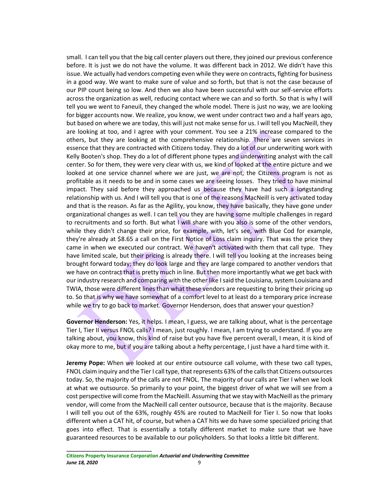small. I can tell you that the big call center players out there, they joined our previous conference before. It is just we do not have the volume. It was different back in 2012. We didn't have this issue. We actually had vendors competing even while they were on contracts, fighting for business in a good way. We want to make sure of value and so forth, but that is not the case because of our PIP count being so low. And then we also have been successful with our self-service efforts across the organization as well, reducing contact where we can and so forth. So that is why I will tell you we went to Faneuil, they changed the whole model. There is just no way, we are looking for bigger accounts now. We realize, you know, we went under contract two and a half years ago, but based on where we are today, this will just not make sense for us. I will tell you MacNeill, they are looking at too, and I agree with your comment. You see a 21% increase compared to the others, but they are looking at the comprehensive relationship. There are seven services in essence that they are contracted with Citizens today. They do a lot of our underwriting work with Kelly Booten's shop. They do a lot of different phone types and underwriting analyst with the call center. So for them, they were very clear with us, we kind of looked at the entire picture and we looked at one service channel where we are just, we are not, the Citizens program is not as profitable as it needs to be and in some cases we are seeing losses. They tried to have minimal impact. They said before they approached us because they have had such a longstanding relationship with us. And I will tell you that is one of the reasons MacNeill is very activated today and that is the reason. As far as the Agility, you know, they have basically, they have gone under organizational changes as well. I can tell you they are having some multiple challenges in regard to recruitments and so forth. But what I will share with you also is some of the other vendors, while they didn't change their price, for example, with, let's see, with Blue Cod for example, they're already at \$8.65 a call on the First Notice of Loss claim inquiry. That was the price they came in when we executed our contract. We haven't activated with them that call type. They have limited scale, but their pricing is already there. I will tell you looking at the increases being brought forward today; they do look large and they are large compared to another vendors that we have on contract that is pretty much in line. But then more importantly what we get back with our industry research and comparing with the other like I said the Louisiana, system Louisiana and TWIA, those were different lines than what these vendors are requesting to bring their pricing up to. So that is why we have somewhat of a comfort level to at least do a temporary price increase while we try to go back to market. Governor Henderson, does that answer your question?

**Governor Henderson:** Yes, it helps. I mean, I guess, we are talking about, what is the percentage Tier I, Tier II versus FNOL calls? I mean, just roughly. I mean, I am trying to understand. If you are talking about, you know, this kind of raise but you have five percent overall, I mean, it is kind of okay more to me, but if you are talking about a hefty percentage, I just have a hard time with it.

**Jeremy Pope:** When we looked at our entire outsource call volume, with these two call types, FNOL claim inquiry and the Tier I call type, that represents 63% of the calls that Citizens outsources today. So, the majority of the calls are not FNOL. The majority of our calls are Tier I when we look at what we outsource. So primarily to your point, the biggest driver of what we will see from a cost perspective will come from the MacNeill. Assuming that we stay with MacNeill as the primary vendor, will come from the MacNeill call center outsource, because that is the majority. Because I will tell you out of the 63%, roughly 45% are routed to MacNeill for Tier I. So now that looks different when a CAT hit, of course, but when a CAT hits we do have some specialized pricing that goes into effect. That is essentially a totally different market to make sure that we have guaranteed resources to be available to our policyholders. So that looks a little bit different.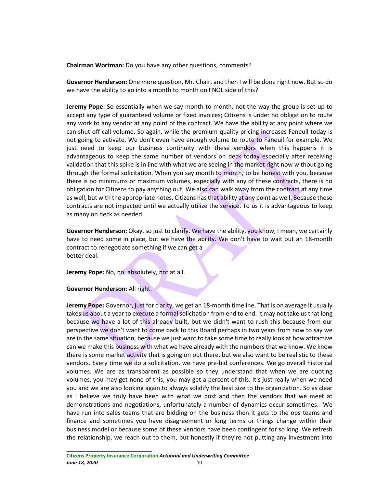**Chairman Wortman:** Do you have any other questions, comments?

**Governor Henderson:** One more question, Mr. Chair, and then I will be done right now. But so do we have the ability to go into a month to month on FNOL side of this?

**Jeremy Pope:** So essentially when we say month to month, not the way the group is set up to accept any type of guaranteed volume or fixed invoices; Citizens is under no obligation to route any work to any vendor at any point of the contract. We have the ability at any point where we can shut off call volume. So again, while the premium quality pricing increases Faneuil today is not going to activate. We don't even have enough volume to route to Faneuil for example. We just need to keep our business continuity with these vendors when this happens it is advantageous to keep the same number of vendors on deck today especially after receiving validation that this spike is in line with what we are seeing in the market right now without going through the formal solicitation. When you say month to month, to be honest with you, because there is no minimums or maximum volumes, especially with any of these contracts, there is no obligation for Citizens to pay anything out. We also can walk away from the contract at any time as well, but with the appropriate notes. Citizens has that ability at any point as well. Because these contracts are not impacted until we actually utilize the service. To us it is advantageous to keep as many on deck as needed.

**Governor Henderson:** Okay, so just to clarify. We have the ability, you know, I mean, we certainly have to need some in place, but we have the ability. We don't have to wait out an 18-month contract to renegotiate something if we can get a better deal.

**Jeremy Pope:** No, no, absolutely, not at all.

**Governor Henderson:** All right.

**\_\_\_\_\_\_\_\_\_\_\_\_\_\_\_\_\_\_\_\_\_\_\_\_\_\_\_\_\_\_\_**

**Jeremy Pope:** Governor, just for clarity, we get an 18-month timeline. That is on average it usually takes us about a year to execute a formal solicitation from end to end. It may not take us that long because we have a lot of this already built, but we didn't want to rush this because from our perspective we don't want to come back to this Board perhaps in two years from now to say we are in the same situation, because we just want to take some time to really look at how attractive can we make this business with what we have already with the numbers that we know. We know there is some market activity that is going on out there, but we also want to be realistic to these vendors. Every time we do a solicitation, we have pre-bid conferences. We go overall historical volumes. We are as transparent as possible so they understand that when we are quoting volumes, you may get none of this, you may get a percent of this. It's just really when we need you and we are also looking again to always solidify the best size to the organization. So as clear as I believe we truly have been with what we post and then the vendors that we meet at demonstrations and negotiations, unfortunately a number of dynamics occur sometimes. We have run into sales teams that are bidding on the business then it gets to the ops teams and finance and sometimes you have disagreement or long terms or things change within their business model or because some of these vendors have been contingent for so long. We refresh the relationship, we reach out to them, but honestly if they're not putting any investment into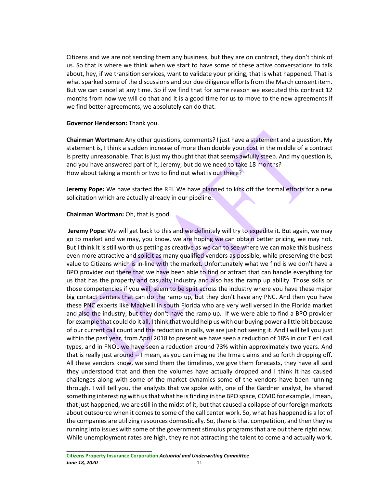Citizens and we are not sending them any business, but they are on contract, they don't think of us. So that is where we think when we start to have some of these active conversations to talk about, hey, if we transition services, want to validate your pricing, that is what happened. That is what sparked some of the discussions and our due diligence efforts from the March consent item. But we can cancel at any time. So if we find that for some reason we executed this contract 12 months from now we will do that and it is a good time for us to move to the new agreements if we find better agreements, we absolutely can do that.

## **Governor Henderson:** Thank you.

**Chairman Wortman:** Any other questions, comments? I just have a statement and a question. My statement is, I think a sudden increase of more than double your cost in the middle of a contract is pretty unreasonable. That is just my thought that that seems awfully steep. And my question is, and you have answered part of it, Jeremy, but do we need to take 18 months? How about taking a month or two to find out what is out there?

**Jeremy Pope:** We have started the RFI. We have planned to kick off the formal efforts for a new solicitation which are actually already in our pipeline.

## **Chairman Wortman:** Oh, that is good.

**Jeremy Pope:** We will get back to this and we definitely will try to expedite it. But again, we may go to market and we may, you know, we are hoping we can obtain better pricing, we may not. But I think it is still worth us getting as creative as we can to see where we can make this business even more attractive and solicit as many qualified vendors as possible, while preserving the best value to Citizens which is in-line with the market. Unfortunately what we find is we don't have a BPO provider out there that we have been able to find or attract that can handle everything for us that has the property and casualty industry and also has the ramp up ability. Those skills or those competencies if you will, seem to be split across the industry where you have these major big contact centers that can do the ramp up, but they don't have any PNC. And then you have these PNC experts like MacNeill in south Florida who are very well versed in the Florida market and also the industry, but they don't have the ramp up. If we were able to find a BPO provider for example that could do it all, I think that would help us with our buying power a little bit because of our current call count and the reduction in calls, we are just not seeing it. And I will tell you just within the past year, from April 2018 to present we have seen a reduction of 18% in our Tier I call types, and in FNOL we have seen a reduction around 73% within approximately two years. And that is really just around -- I mean, as you can imagine the Irma claims and so forth dropping off. All these vendors know, we send them the timelines, we give them forecasts, they have all said they understood that and then the volumes have actually dropped and I think it has caused challenges along with some of the market dynamics some of the vendors have been running through. I will tell you, the analysts that we spoke with, one of the Gardner analyst, he shared something interesting with us that what he is finding in the BPO space, COVID for example, I mean, that just happened, we are still in the midst of it, but that caused a collapse of our foreign markets about outsource when it comes to some of the call center work. So, what has happened is a lot of the companies are utilizing resources domestically. So, there is that competition, and then they're running into issues with some of the government stimulus programs that are out there right now. While unemployment rates are high, they're not attracting the talent to come and actually work.

#### **\_\_\_\_\_\_\_\_\_\_\_\_\_\_\_\_\_\_\_\_\_\_\_\_\_\_\_\_\_\_\_ Citizens Property Insurance Corporation** *Actuarial and Underwriting Committee June 18, 2020* 11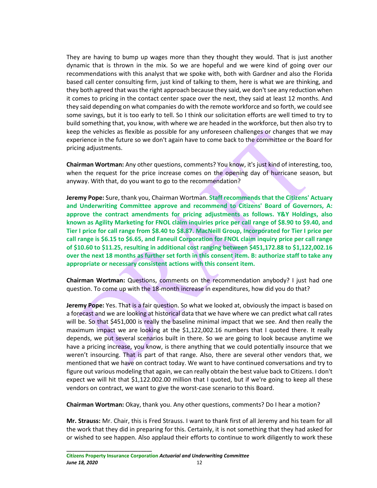They are having to bump up wages more than they thought they would. That is just another dynamic that is thrown in the mix. So we are hopeful and we were kind of going over our recommendations with this analyst that we spoke with, both with Gardner and also the Florida based call center consulting firm, just kind of talking to them, here is what we are thinking, and they both agreed that was the right approach because they said, we don't see any reduction when it comes to pricing in the contact center space over the next, they said at least 12 months. And they said depending on what companies do with the remote workforce and so forth, we could see some savings, but it is too early to tell. So I think our solicitation efforts are well timed to try to build something that, you know, with where we are headed in the workforce, but then also try to keep the vehicles as flexible as possible for any unforeseen challenges or changes that we may experience in the future so we don't again have to come back to the committee or the Board for pricing adjustments.

**Chairman Wortman:** Any other questions, comments? You know, it's just kind of interesting, too, when the request for the price increase comes on the opening day of hurricane season, but anyway. With that, do you want to go to the recommendation?

**Jeremy Pope:** Sure, thank you, Chairman Wortman. **Staff recommends that the Citizens' Actuary and Underwriting Committee approve and recommend to Citizens' Board of Governors, A: approve the contract amendments for pricing adjustments as follows. Y&Y Holdings, also known as Agility Marketing for FNOL claim inquiries price per call range of \$8.90 to \$9.40, and Tier I price for call range from \$8.40 to \$8.87. MacNeill Group, Incorporated for Tier I price per call range is \$6.15 to \$6.65, and Faneuil Corporation for FNOL claim inquiry price per call range of \$10.60 to \$11.25, resulting in additional cost ranging between \$451,172.88 to \$1,122,002.16 over the next 18 months as further set forth in this consent item. B: authorize staff to take any appropriate or necessary consistent actions with this consent item.**

**Chairman Wortman:** Questions, comments on the recommendation anybody? I just had one question. To come up with the 18-month increase in expenditures, how did you do that?

**Jeremy Pope:** Yes. That is a fair question. So what we looked at, obviously the impact is based on a forecast and we are looking at historical data that we have where we can predict what call rates will be. So that \$451,000 is really the baseline minimal impact that we see. And then really the maximum impact we are looking at the \$1,122,002.16 numbers that I quoted there. It really depends, we put several scenarios built in there. So we are going to look because anytime we have a pricing increase, you know, is there anything that we could potentially insource that we weren't insourcing. That is part of that range. Also, there are several other vendors that, we mentioned that we have on contract today. We want to have continued conversations and try to figure out various modeling that again, we can really obtain the best value back to Citizens. I don't expect we will hit that \$1,122.002.00 million that I quoted, but if we're going to keep all these vendors on contract, we want to give the worst-case scenario to this Board.

**Chairman Wortman:** Okay, thank you. Any other questions, comments? Do I hear a motion?

**Mr. Strauss:** Mr. Chair, this is Fred Strauss. I want to thank first of all Jeremy and his team for all the work that they did in preparing for this. Certainly, it is not something that they had asked for or wished to see happen. Also applaud their efforts to continue to work diligently to work these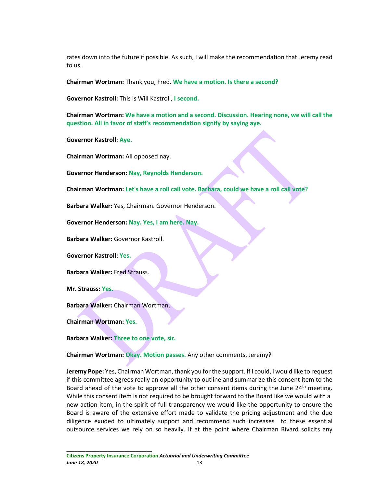rates down into the future if possible. As such, I will make the recommendation that Jeremy read to us.

**Chairman Wortman:** Thank you, Fred. **We have a motion. Is there a second?**

**Governor Kastroll:** This is Will Kastroll, **I second.**

**Chairman Wortman: We have a motion and a second. Discussion. Hearing none, we will call the question. All in favor of staff's recommendation signify by saying aye.**

**Governor Kastroll: Aye.**

**Chairman Wortman:** All opposed nay.

**Governor Henderson: Nay, Reynolds Henderson.**

**Chairman Wortman: Let's have a roll call vote. Barbara, could we have a roll call vote?**

**Barbara Walker:** Yes, Chairman. Governor Henderson.

**Governor Henderson: Nay. Yes, I am here. Nay.**

**Barbara Walker:** Governor Kastroll.

**Governor Kastroll: Yes.**

**Barbara Walker:** Fred Strauss.

**Mr. Strauss: Yes.**

**Barbara Walker:** Chairman Wortman.

**Chairman Wortman: Yes.**

**Barbara Walker: Three to one vote, sir.**

**Chairman Wortman: Okay. Motion passes.** Any other comments, Jeremy?

**Jeremy Pope:** Yes, Chairman Wortman, thank you for the support. If I could, I would like to request if this committee agrees really an opportunity to outline and summarize this consent item to the Board ahead of the vote to approve all the other consent items during the June 24<sup>th</sup> meeting. While this consent item is not required to be brought forward to the Board like we would with a new action item, in the spirit of full transparency we would like the opportunity to ensure the Board is aware of the extensive effort made to validate the pricing adjustment and the due diligence exuded to ultimately support and recommend such increases to these essential outsource services we rely on so heavily. If at the point where Chairman Rivard solicits any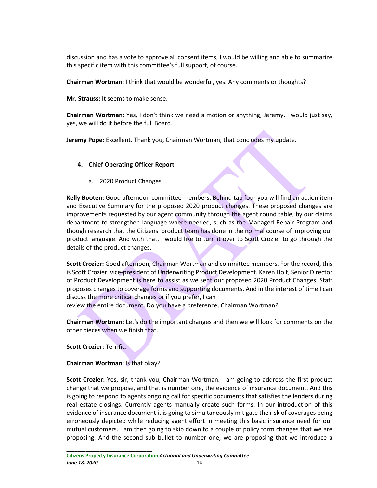discussion and has a vote to approve all consent items, I would be willing and able to summarize this specific item with this committee's full support, of course.

**Chairman Wortman:** I think that would be wonderful, yes. Any comments or thoughts?

**Mr. Strauss:** It seems to make sense.

**Chairman Wortman:** Yes, I don't think we need a motion or anything, Jeremy. I would just say, yes, we will do it before the full Board.

**Jeremy Pope:** Excellent. Thank you, Chairman Wortman, that concludes my update.

# **4. Chief Operating Officer Report**

a. 2020 Product Changes

**Kelly Booten:** Good afternoon committee members. Behind tab four you will find an action item and Executive Summary for the proposed 2020 product changes. These proposed changes are improvements requested by our agent community through the agent round table, by our claims department to strengthen language where needed, such as the Managed Repair Program and though research that the Citizens' product team has done in the normal course of improving our product language. And with that, I would like to turn it over to Scott Crozier to go through the details of the product changes.

**Scott Crozier:** Good afternoon, Chairman Wortman and committee members. For the record, this is Scott Crozier, vice-president of Underwriting Product Development. Karen Holt, Senior Director of Product Development is here to assist as we sent our proposed 2020 Product Changes. Staff proposes changes to coverage forms and supporting documents. And in the interest of time I can discuss the more critical changes or if you prefer, I can

review the entire document. Do you have a preference, Chairman Wortman?

**Chairman Wortman:** Let's do the important changes and then we will look for comments on the other pieces when we finish that.

**Scott Crozier:** Terrific.

**Chairman Wortman:** Is that okay?

**\_\_\_\_\_\_\_\_\_\_\_\_\_\_\_\_\_\_\_\_\_\_\_\_\_\_\_\_\_\_\_**

**Scott Crozier:** Yes, sir, thank you, Chairman Wortman. I am going to address the first product change that we propose, and that is number one, the evidence of insurance document. And this is going to respond to agents ongoing call for specific documents that satisfies the lenders during real estate closings. Currently agents manually create such forms. In our introduction of this evidence of insurance document it is going to simultaneously mitigate the risk of coverages being erroneously depicted while reducing agent effort in meeting this basic insurance need for our mutual customers. I am then going to skip down to a couple of policy form changes that we are proposing. And the second sub bullet to number one, we are proposing that we introduce a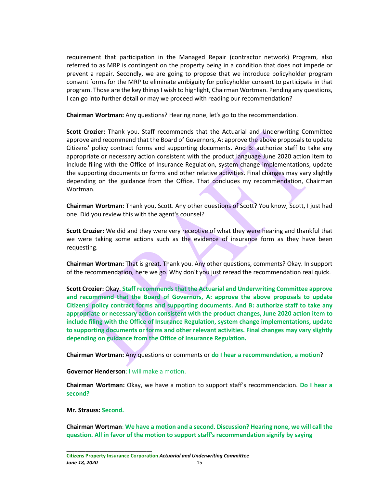requirement that participation in the Managed Repair (contractor network) Program, also referred to as MRP is contingent on the property being in a condition that does not impede or prevent a repair. Secondly, we are going to propose that we introduce policyholder program consent forms for the MRP to eliminate ambiguity for policyholder consent to participate in that program. Those are the key things I wish to highlight, Chairman Wortman. Pending any questions, I can go into further detail or may we proceed with reading our recommendation?

**Chairman Wortman:** Any questions? Hearing none, let's go to the recommendation.

**Scott Crozier:** Thank you. Staff recommends that the Actuarial and Underwriting Committee approve and recommend that the Board of Governors, A: approve the above proposals to update Citizens' policy contract forms and supporting documents. And B: authorize staff to take any appropriate or necessary action consistent with the product language June 2020 action item to include filing with the Office of Insurance Regulation, system change implementations, update the supporting documents or forms and other relative activities. Final changes may vary slightly depending on the guidance from the Office. That concludes my recommendation, Chairman Wortman.

**Chairman Wortman:** Thank you, Scott. Any other questions of Scott? You know, Scott, I just had one. Did you review this with the agent's counsel?

**Scott Crozier:** We did and they were very receptive of what they were hearing and thankful that we were taking some actions such as the evidence of insurance form as they have been requesting.

**Chairman Wortman:** That is great. Thank you. Any other questions, comments? Okay. In support of the recommendation, here we go. Why don't you just reread the recommendation real quick.

**Scott Crozier:** Okay. **Staff recommends that the Actuarial and Underwriting Committee approve and recommend that the Board of Governors, A: approve the above proposals to update Citizens' policy contract forms and supporting documents. And B: authorize staff to take any appropriate or necessary action consistent with the product changes, June 2020 action item to include filing with the Office of Insurance Regulation, system change implementations, update to supporting documents or forms and other relevant activities. Final changes may vary slightly depending on guidance from the Office of Insurance Regulation.**

**Chairman Wortman:** Any questions or comments or **do I hear a recommendation, a motion**?

**Governor Henderson**: I will make a motion.

**Chairman Wortman:** Okay, we have a motion to support staff's recommendation. **Do I hear a second?**

**Mr. Strauss: Second.**

**\_\_\_\_\_\_\_\_\_\_\_\_\_\_\_\_\_\_\_\_\_\_\_\_\_\_\_\_\_\_\_**

**Chairman Wortman**: **We have a motion and a second. Discussion? Hearing none, we will call the question. All in favor of the motion to support staff's recommendation signify by saying**